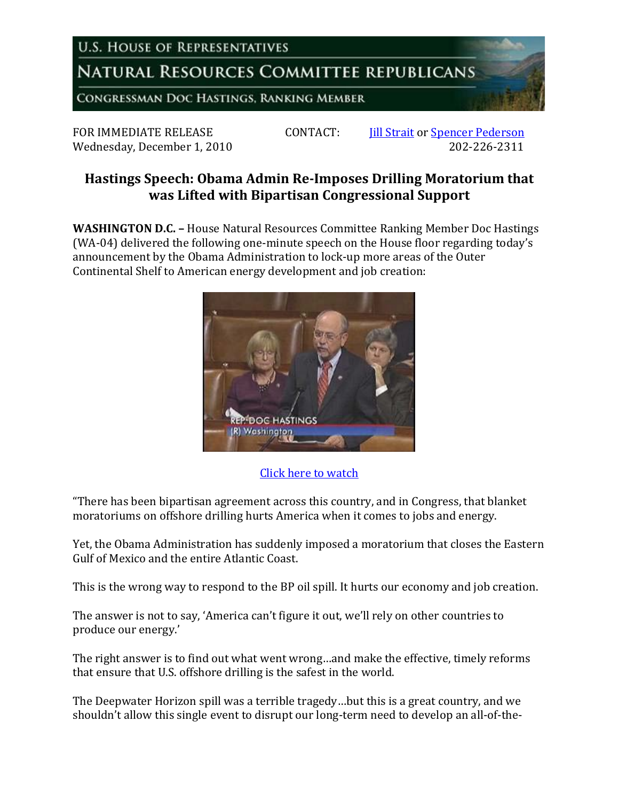**U.S. HOUSE OF REPRESENTATIVES** 

NATURAL RESOURCES COMMITTEE REPUBLICANS

CONGRESSMAN DOC HASTINGS, RANKING MEMBER

FOR IMMEDIATE RELEASE CONTACT: I<u>ill Strait</u> or <u>Spencer Pederson</u><br>Wednesdav. December 1, 2010 Wednesday, December 1, 2010

## **Hastings Speech: Obama Admin Re-Imposes Drilling Moratorium that was Lifted with Bipartisan Congressional Support**

**WASHINGTON D.C. –** House Natural Resources Committee Ranking Member Doc Hastings (WA-04) delivered the following one-minute speech on the House floor regarding today's announcement by the Obama Administration to lock-up more areas of the Outer Continental Shelf to American energy development and job creation:



## [Click here to watch](http://www.youtube.com/watch?v=FA4pKeRHNBE)

"There has been bipartisan agreement across this country, and in Congress, that blanket moratoriums on offshore drilling hurts America when it comes to jobs and energy.

Yet, the Obama Administration has suddenly imposed a moratorium that closes the Eastern Gulf of Mexico and the entire Atlantic Coast.

This is the wrong way to respond to the BP oil spill. It hurts our economy and job creation.

The answer is not to say, 'America can't figure it out, we'll rely on other countries to produce our energy.'

The right answer is to find out what went wrong…and make the effective, timely reforms that ensure that U.S. offshore drilling is the safest in the world.

The Deepwater Horizon spill was a terrible tragedy…but this is a great country, and we shouldn't allow this single event to disrupt our long-term need to develop an all-of-the